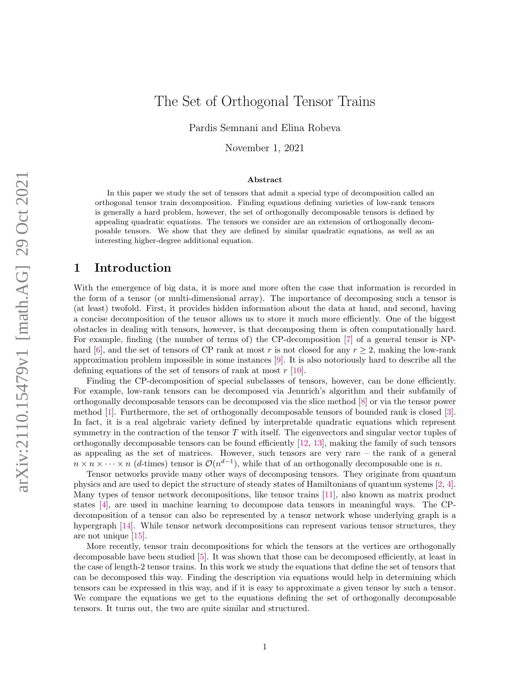# The Set of Orthogonal Tensor Trains

Pardis Semnani and Elina Robeva

November 1, 2021

#### Abstract

In this paper we study the set of tensors that admit a special type of decomposition called an orthogonal tensor train decomposition. Finding equations defining varieties of low-rank tensors is generally a hard problem, however, the set of orthogonally decomposable tensors is defined by appealing quadratic equations. The tensors we consider are an extension of orthogonally decomposable tensors. We show that they are defined by similar quadratic equations, as well as an interesting higher-degree additional equation.

### 1 Introduction

With the emergence of big data, it is more and more often the case that information is recorded in the form of a tensor (or multi-dimensional array). The importance of decomposing such a tensor is (at least) twofold. First, it provides hidden information about the data at hand, and second, having a concise decomposition of the tensor allows us to store it much more efficiently. One of the biggest obstacles in dealing with tensors, however, is that decomposing them is often computationally hard. For example, finding (the number of terms of) the CP-decomposition [\[7\]](#page-11-0) of a general tensor is NP-hard [\[6\]](#page-11-1), and the set of tensors of CP rank at most r is not closed for any  $r \geq 2$ , making the low-rank approximation problem impossible in some instances [\[9\]](#page-11-2). It is also notoriously hard to describe all the defining equations of the set of tensors of rank at most  $r$  [\[10\]](#page-11-3).

Finding the CP-decomposition of special subclasses of tensors, however, can be done efficiently. For example, low-rank tensors can be decomposed via Jennrich's algorithm and their subfamily of orthogonally decomposable tensors can be decomposed via the slice method [\[8\]](#page-11-4) or via the tensor power method [\[1\]](#page-11-5). Furthermore, the set of orthogonally decomposable tensors of bounded rank is closed [\[3\]](#page-11-6). In fact, it is a real algebraic variety defined by interpretable quadratic equations which represent symmetry in the contraction of the tensor  $T$  with itself. The eigenvectors and singular vector tuples of orthogonally decomposable tensors can be found efficiently [\[12,](#page-11-7) [13\]](#page-12-0), making the family of such tensors as appealing as the set of matrices. However, such tensors are very rare – the rank of a general  $n \times n \times \cdots \times n$  (d-times) tensor is  $\mathcal{O}(n^{d-1})$ , while that of an orthogonally decomposable one is n.

Tensor networks provide many other ways of decomposing tensors. They originate from quantum physics and are used to depict the structure of steady states of Hamiltonians of quantum systems [\[2,](#page-11-8) [4\]](#page-11-9). Many types of tensor network decompositions, like tensor trains [\[11\]](#page-11-10), also known as matrix product states [\[4\]](#page-11-9), are used in machine learning to decompose data tensors in meaningful ways. The CPdecomposition of a tensor can also be represented by a tensor network whose underlying graph is a hypergraph [\[14\]](#page-12-1). While tensor network decompositions can represent various tensor structures, they are not unique [\[15\]](#page-12-2).

More recently, tensor train decompositions for which the tensors at the vertices are orthogonally decomposable have been studied [\[5\]](#page-11-11). It was shown that those can be decomposed efficiently, at least in the case of length-2 tensor trains. In this work we study the equations that define the set of tensors that can be decomposed this way. Finding the description via equations would help in determining which tensors can be expressed in this way, and if it is easy to approximate a given tensor by such a tensor. We compare the equations we get to the equations defining the set of orthogonally decomposable tensors. It turns out, the two are quite similar and structured.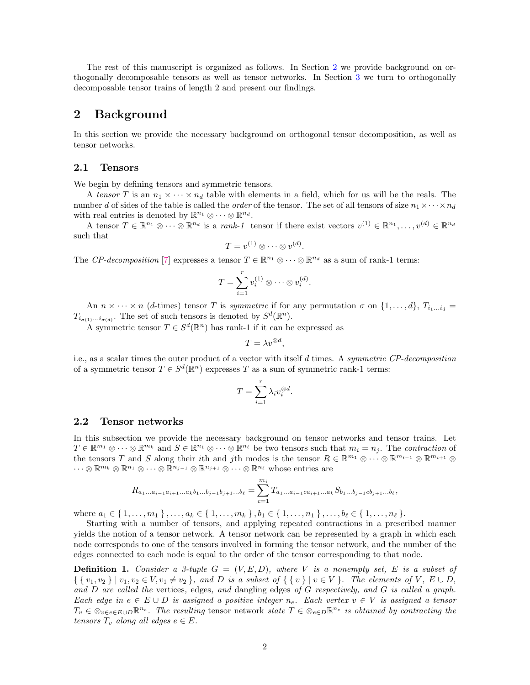The rest of this manuscript is organized as follows. In Section [2](#page-1-0) we provide background on orthogonally decomposable tensors as well as tensor networks. In Section [3](#page-3-0) we turn to orthogonally decomposable tensor trains of length 2 and present our findings.

### <span id="page-1-0"></span>2 Background

In this section we provide the necessary background on orthogonal tensor decomposition, as well as tensor networks.

### 2.1 Tensors

We begin by defining tensors and symmetric tensors.

A tensor T is an  $n_1 \times \cdots \times n_d$  table with elements in a field, which for us will be the reals. The number d of sides of the table is called the *order* of the tensor. The set of all tensors of size  $n_1 \times \cdots \times n_d$ with real entries is denoted by  $\mathbb{R}^{n_1} \otimes \cdots \otimes \mathbb{R}^{n_d}$ .

A tensor  $T \in \mathbb{R}^{n_1} \otimes \cdots \otimes \mathbb{R}^{n_d}$  is a *rank-1* tensor if there exist vectors  $v^{(1)} \in \mathbb{R}^{n_1}, \ldots, v^{(d)} \in \mathbb{R}^{n_d}$ such that

$$
T = v^{(1)} \otimes \cdots \otimes v^{(d)}.
$$

The CP-decomposition [\[7\]](#page-11-0) expresses a tensor  $T \in \mathbb{R}^{n_1} \otimes \cdots \otimes \mathbb{R}^{n_d}$  as a sum of rank-1 terms:

$$
T = \sum_{i=1}^{r} v_i^{(1)} \otimes \cdots \otimes v_i^{(d)}.
$$

An  $n \times \cdots \times n$  (d-times) tensor T is symmetric if for any permutation  $\sigma$  on  $\{1,\ldots,d\}$ ,  $T_{i_1...i_d}$  $T_{i_{\sigma(1)}\ldots i_{\sigma(d)}}$ . The set of such tensors is denoted by  $S^d(\mathbb{R}^n)$ .

A symmetric tensor  $T \in S^d(\mathbb{R}^n)$  has rank-1 if it can be expressed as

$$
T = \lambda v^{\otimes d},
$$

i.e., as a scalar times the outer product of a vector with itself  $d$  times. A *symmetric CP-decomposition* of a symmetric tensor  $T \in S^d(\mathbb{R}^n)$  expresses T as a sum of symmetric rank-1 terms:

$$
T = \sum_{i=1}^{r} \lambda_i v_i^{\otimes d}.
$$

### 2.2 Tensor networks

In this subsection we provide the necessary background on tensor networks and tensor trains. Let  $T \in \mathbb{R}^{m_1} \otimes \cdots \otimes \mathbb{R}^{m_k}$  and  $S \in \mathbb{R}^{n_1} \otimes \cdots \otimes \mathbb{R}^{n_\ell}$  be two tensors such that  $m_i = n_j$ . The contraction of the tensors T and S along their *i*th and *j*th modes is the tensor  $R \in \mathbb{R}^{m_1} \otimes \cdots \otimes \mathbb{R}^{m_{i-1}} \otimes \mathbb{R}^{m_{i+1}} \otimes$  $\cdots \otimes \mathbb{R}^{m_k} \otimes \mathbb{R}^{n_1} \otimes \cdots \otimes \mathbb{R}^{n_{j-1}} \otimes \mathbb{R}^{n_{j+1}} \otimes \cdots \otimes \mathbb{R}^{n_\ell}$  whose entries are

$$
R_{a_1...a_{i-1}a_{i+1}...a_kb_1...b_{j-1}b_{j+1}...b_\ell} = \sum_{c=1}^{m_i} T_{a_1...a_{i-1}ca_{i+1}...a_k} S_{b_1...b_{j-1}cb_{j+1}...b_\ell},
$$

where  $a_1 \in \{1, \ldots, m_1\}, \ldots, a_k \in \{1, \ldots, m_k\}, b_1 \in \{1, \ldots, n_1\}, \ldots, b_\ell \in \{1, \ldots, n_\ell\}.$ 

Starting with a number of tensors, and applying repeated contractions in a prescribed manner yields the notion of a tensor network. A tensor network can be represented by a graph in which each node corresponds to one of the tensors involved in forming the tensor network, and the number of the edges connected to each node is equal to the order of the tensor corresponding to that node.

**Definition 1.** Consider a 3-tuple  $G = (V, E, D)$ , where V is a nonempty set, E is a subset of  $\{ \{ v_1, v_2 \} | v_1, v_2 \in V, v_1 \neq v_2 \}, \text{ and } D \text{ is a subset of } \{ \{ v \} | v \in V \}.$  The elements of V,  $E \cup D$ , and D are called the vertices, edges, and dangling edges of G respectively, and G is called a graph. Each edge in  $e \in E \cup D$  is assigned a positive integer  $n_e$ . Each vertex  $v \in V$  is assigned a tensor  $T_v \in \otimes_{v \in e \in E \cup D} \mathbb{R}^{n_e}$ . The resulting tensor network state  $T \in \otimes_{e \in D} \mathbb{R}^{n_e}$  is obtained by contracting the tensors  $T_v$  along all edges  $e \in E$ .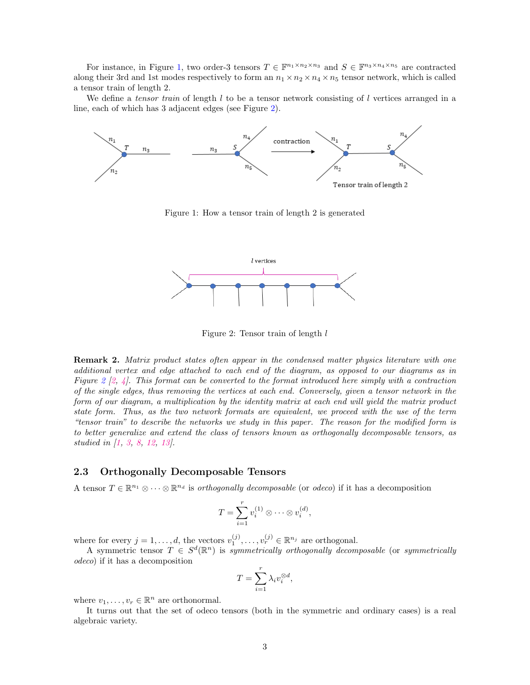For instance, in Figure [1,](#page-2-0) two order-3 tensors  $T \in \mathbb{F}^{n_1 \times n_2 \times n_3}$  and  $S \in \mathbb{F}^{n_3 \times n_4 \times n_5}$  are contracted along their 3rd and 1st modes respectively to form an  $n_1 \times n_2 \times n_4 \times n_5$  tensor network, which is called a tensor train of length 2.

We define a tensor train of length  $l$  to be a tensor network consisting of  $l$  vertices arranged in a line, each of which has 3 adjacent edges (see Figure [2\)](#page-2-1).

<span id="page-2-0"></span>

Figure 1: How a tensor train of length 2 is generated

<span id="page-2-1"></span>

Figure 2: Tensor train of length l

**Remark 2.** Matrix product states often appear in the condensed matter physics literature with one additional vertex and edge attached to each end of the diagram, as opposed to our diagrams as in Figure [2](#page-2-1)  $[2, 4]$  $[2, 4]$  $[2, 4]$ . This format can be converted to the format introduced here simply with a contraction of the single edges, thus removing the vertices at each end. Conversely, given a tensor network in the form of our diagram, a multiplication by the identity matrix at each end will yield the matrix product state form. Thus, as the two network formats are equivalent, we proceed with the use of the term "tensor train" to describe the networks we study in this paper. The reason for the modified form is to better generalize and extend the class of tensors known as orthogonally decomposable tensors, as studied in [\[1,](#page-11-5) [3,](#page-11-6) [8,](#page-11-4) [12,](#page-11-7) [13\]](#page-12-0).

#### <span id="page-2-2"></span>2.3 Orthogonally Decomposable Tensors

A tensor  $T \in \mathbb{R}^{n_1} \otimes \cdots \otimes \mathbb{R}^{n_d}$  is *orthogonally decomposable* (or *odeco*) if it has a decomposition

$$
T = \sum_{i=1}^{r} v_i^{(1)} \otimes \cdots \otimes v_i^{(d)},
$$

where for every  $j = 1, ..., d$ , the vectors  $v_1^{(j)}, ..., v_r^{(j)} \in \mathbb{R}^{n_j}$  are orthogonal.

A symmetric tensor  $T \in S^d(\mathbb{R}^n)$  is symmetrically orthogonally decomposable (or symmetrically odeco) if it has a decomposition

$$
T = \sum_{i=1}^{r} \lambda_i v_i^{\otimes d},
$$

where  $v_1, \ldots, v_r \in \mathbb{R}^n$  are orthonormal.

It turns out that the set of odeco tensors (both in the symmetric and ordinary cases) is a real algebraic variety.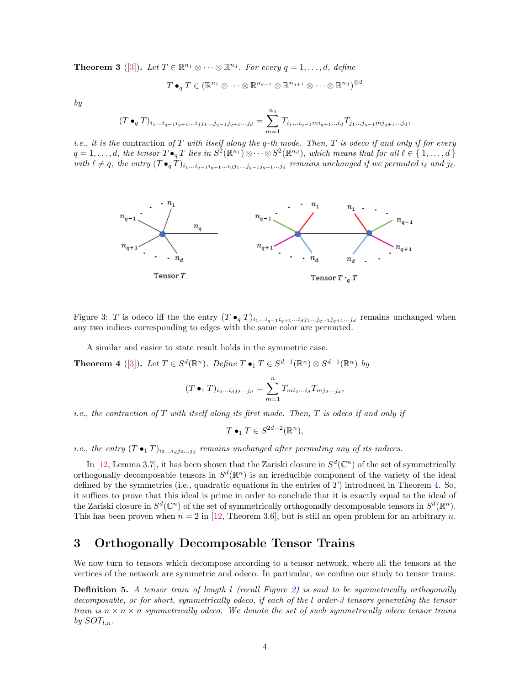<span id="page-3-2"></span>**Theorem 3** ([\[3\]](#page-11-6)). Let  $T \in \mathbb{R}^{n_1} \otimes \cdots \otimes \mathbb{R}^{n_d}$ . For every  $q = 1, \ldots, d$ , define

$$
T \bullet_q T \in (\mathbb{R}^{n_1} \otimes \cdots \otimes \mathbb{R}^{n_{q-1}} \otimes \mathbb{R}^{n_{q+1}} \otimes \cdots \otimes \mathbb{R}^{n_d})^{\otimes 2}
$$

by

$$
(T \bullet_q T)_{i_1 \dots i_{q-1} i_{q+1} \dots i_d j_1 \dots j_{q-1} j_{q+1} \dots j_d} = \sum_{m=1}^{n_q} T_{i_1 \dots i_{q-1} m i_{q+1} \dots i_d} T_{j_1 \dots j_{q-1} m j_{q+1} \dots j_d},
$$

i.e., it is the contraction of T with itself along the q-th mode. Then, T is odeco if and only if for every  $q = 1, \ldots, d$ , the tensor  $T \bullet_q T$  lies in  $S^2(\mathbb{R}^{n_1}) \otimes \cdots \otimes S^2(\mathbb{R}^{n_d})$ , which means that for all  $\ell \in \{1, \ldots, d\}$ with  $\ell \neq q$ , the entry  $(T \bullet_q T)_{i_1...i_{q-1}i_{q+1}...i_dj_1...j_{q-1}j_{q+1}...j_d}$  remains unchanged if we permuted  $i_\ell$  and  $j_\ell$ .

<span id="page-3-3"></span>

Figure 3: T is odeco iff the the entry  $(T \bullet_q T)_{i_1...i_{q-1}i_{q+1}...i_dj_1...j_{q-1}j_{q+1}...j_d}$  remains unchanged when any two indices corresponding to edges with the same color are permuted.

A similar and easier to state result holds in the symmetric case.

<span id="page-3-1"></span>**Theorem 4** ([\[3\]](#page-11-6)). Let  $T \in S^d(\mathbb{R}^n)$ . Define  $T \bullet_1 T \in S^{d-1}(\mathbb{R}^n) \otimes S^{d-1}(\mathbb{R}^n)$  by

$$
(T \bullet_1 T)_{i_2...i_d j_2...j_d} = \sum_{m=1}^n T_{m i_2...i_d} T_{m j_2...j_d},
$$

*i.e.*, the contraction of  $T$  with itself along its first mode. Then,  $T$  is odeco if and only if

$$
T \bullet_1 T \in S^{2d-2}(\mathbb{R}^n),
$$

*i.e.*, the entry  $(T \bullet_1 T)_{i_2...i_dj_2...j_d}$  remains unchanged after permuting any of its indices.

In [\[12,](#page-11-7) Lemma 3.7], it has been shown that the Zariski closure in  $S^d(\mathbb{C}^n)$  of the set of symmetrically orthogonally decomposable tensors in  $S^d(\mathbb{R}^n)$  is an irreducible component of the variety of the ideal defined by the symmetries (i.e., quadratic equations in the entries of  $T$ ) introduced in Theorem [4.](#page-3-1) So, it suffices to prove that this ideal is prime in order to conclude that it is exactly equal to the ideal of the Zariski closure in  $S^d(\mathbb{C}^n)$  of the set of symmetrically orthogonally decomposable tensors in  $S^d(\mathbb{R}^n)$ . This has been proven when  $n = 2$  in [\[12,](#page-11-7) Theorem 3.6], but is still an open problem for an arbitrary n.

## <span id="page-3-0"></span>3 Orthogonally Decomposable Tensor Trains

We now turn to tensors which decompose according to a tensor network, where all the tensors at the vertices of the network are symmetric and odeco. In particular, we confine our study to tensor trains.

**Definition 5.** A tensor train of length  $l$  (recall Figure [2\)](#page-2-1) is said to be symmetrically orthogonally decomposable, or for short, symmetrically odeco, if each of the l order-3 tensors generating the tensor train is  $n \times n \times n$  symmetrically odeco. We denote the set of such symmetrically odeco tensor trains by  $SOT_{l,n}$ .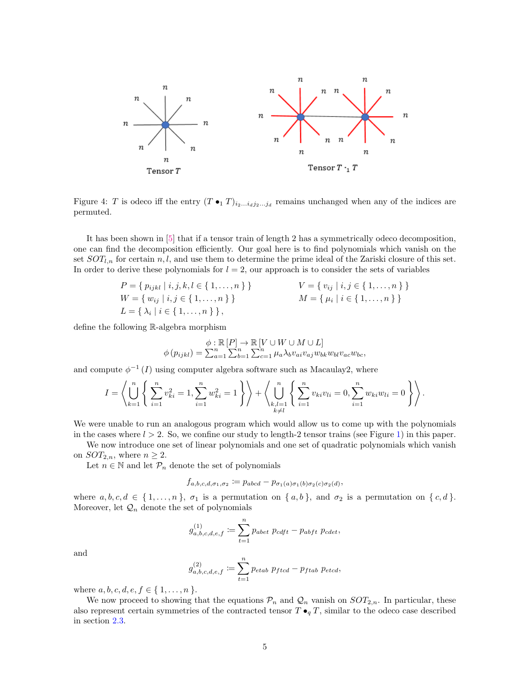<span id="page-4-0"></span>

Figure 4: T is odeco iff the entry  $(T \bullet_1 T)_{i_2...i_dj_2...j_d}$  remains unchanged when any of the indices are permuted.

It has been shown in [\[5\]](#page-11-11) that if a tensor train of length 2 has a symmetrically odeco decomposition, one can find the decomposition efficiently. Our goal here is to find polynomials which vanish on the set  $SOT_{l,n}$  for certain n, l, and use them to determine the prime ideal of the Zariski closure of this set. In order to derive these polynomials for  $l = 2$ , our approach is to consider the sets of variables

$$
P = \{ p_{ijkl} \mid i, j, k, l \in \{ 1, ..., n \} \} \qquad V = \{ v_{ij} \mid i, j \in \{ 1, ..., n \} \} W = \{ w_{ij} \mid i, j \in \{ 1, ..., n \} \} \qquad M = \{ \mu_i \mid i \in \{ 1, ..., n \} \} L = \{ \lambda_i \mid i \in \{ 1, ..., n \} \},
$$

define the following R-algebra morphism

$$
\phi: \mathbb{R}[P] \to \mathbb{R}[V \cup W \cup M \cup L]
$$
  

$$
\phi(p_{ijkl}) = \sum_{a=1}^{n} \sum_{b=1}^{n} \sum_{c=1}^{n} \mu_a \lambda_b v_{ai} v_{aj} w_{bk} w_{bl} v_{ac} w_{bc},
$$

and compute  $\phi^{-1}(I)$  using computer algebra software such as Macaulay2, where

$$
I = \left\langle \bigcup_{k=1}^{n} \left\{ \sum_{i=1}^{n} v_{ki}^{2} = 1, \sum_{i=1}^{n} w_{ki}^{2} = 1 \right\} \right\rangle + \left\langle \bigcup_{\substack{k,l=1 \\ k \neq l}}^{n} \left\{ \sum_{i=1}^{n} v_{ki} v_{li} = 0, \sum_{i=1}^{n} w_{ki} w_{li} = 0 \right\} \right\rangle.
$$

We were unable to run an analogous program which would allow us to come up with the polynomials in the cases where  $l > 2$ . So, we confine our study to length-2 tensor trains (see Figure [1\)](#page-2-0) in this paper.

We now introduce one set of linear polynomials and one set of quadratic polynomials which vanish on  $SOT_{2,n}$ , where  $n \geq 2$ .

Let  $n \in \mathbb{N}$  and let  $\mathcal{P}_n$  denote the set of polynomials

$$
f_{a,b,c,d,\sigma_1,\sigma_2} := p_{abcd} - p_{\sigma_1(a)\sigma_1(b)\sigma_2(c)\sigma_2(d)},
$$

where  $a, b, c, d \in \{1, \ldots, n\}$ ,  $\sigma_1$  is a permutation on  $\{a, b\}$ , and  $\sigma_2$  is a permutation on  $\{c, d\}$ . Moreover, let  $\mathcal{Q}_n$  denote the set of polynomials

$$
g_{a,b,c,d,e,f}^{(1)} := \sum_{t=1}^{n} p_{abet} p_{cdft} - p_{abft} p_{cdet},
$$

and

$$
g_{a,b,c,d,e,f}^{(2)} := \sum_{t=1}^{n} p_{etab} \ p_{ftcd} - p_{ftab} \ p_{etcd},
$$

where  $a, b, c, d, e, f \in \{1, ..., n\}.$ 

We now proceed to showing that the equations  $\mathcal{P}_n$  and  $\mathcal{Q}_n$  vanish on  $SOT_{2,n}$ . In particular, these also represent certain symmetries of the contracted tensor  $T \bullet_q T$ , similar to the odeco case described in section [2.3.](#page-2-2)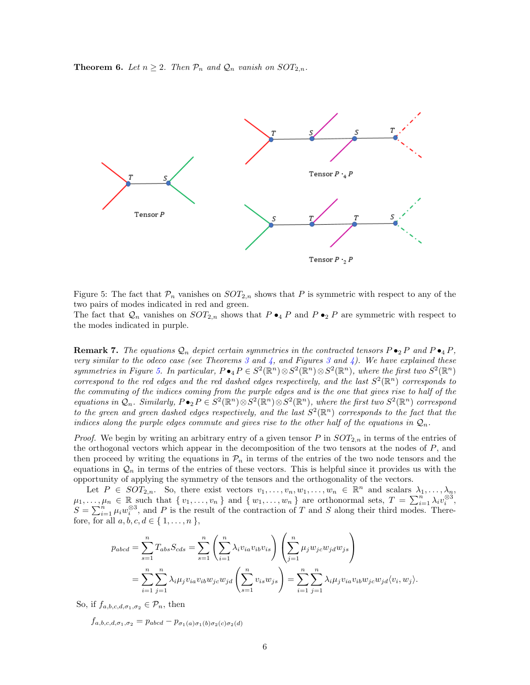<span id="page-5-1"></span><span id="page-5-0"></span>**Theorem 6.** Let  $n \geq 2$ . Then  $P_n$  and  $Q_n$  vanish on  $SOT_{2,n}$ .



Figure 5: The fact that  $P_n$  vanishes on  $SOT_{2,n}$  shows that P is symmetric with respect to any of the two pairs of modes indicated in red and green.

The fact that  $\mathcal{Q}_n$  vanishes on  $SOT_{2,n}$  shows that  $P \bullet_4 P$  and  $P \bullet_2 P$  are symmetric with respect to the modes indicated in purple.

**Remark 7.** The equations  $\mathcal{Q}_n$  depict certain symmetries in the contracted tensors  $P \bullet_2 P$  and  $P \bullet_4 P$ , very similar to the odeco case (see Theorems [3](#page-3-3) and [4,](#page-3-1) and Figures 3 and [4\)](#page-4-0). We have explained these symmetries in Figure [5.](#page-5-0) In particular,  $P \bullet_4 P \in S^2(\mathbb{R}^n) \otimes S^2(\mathbb{R}^n) \otimes S^2(\mathbb{R}^n)$ , where the first two  $S^2(\mathbb{R}^n)$ correspond to the red edges and the red dashed edges respectively, and the last  $S^2(\mathbb{R}^n)$  corresponds to the commuting of the indices coming from the purple edges and is the one that gives rise to half of the equations in  $\mathcal{Q}_n$ . Similarly,  $P \bullet_2 P \in S^2(\mathbb{R}^n) \otimes S^2(\mathbb{R}^n) \otimes S^2(\mathbb{R}^n)$ , where the first two  $S^2(\mathbb{R}^n)$  correspond to the green and green dashed edges respectively, and the last  $S^2(\mathbb{R}^n)$  corresponds to the fact that the indices along the purple edges commute and gives rise to the other half of the equations in  $\mathcal{Q}_n$ .

*Proof.* We begin by writing an arbitrary entry of a given tensor P in  $SOT_{2,n}$  in terms of the entries of the orthogonal vectors which appear in the decomposition of the two tensors at the nodes of  $P$ , and then proceed by writing the equations in  $\mathcal{P}_n$  in terms of the entries of the two node tensors and the equations in  $\mathcal{Q}_n$  in terms of the entries of these vectors. This is helpful since it provides us with the opportunity of applying the symmetry of the tensors and the orthogonality of the vectors.

Let  $P \in SOT_{2,n}$ . So, there exist vectors  $v_1, \ldots, v_n, w_1, \ldots, w_n \in \mathbb{R}^n$  and scalars  $\lambda_1, \ldots, \lambda_n$ ,  $\mu_1, \ldots, \mu_n \in \mathbb{R}$  such that  $\{v_1, \ldots, v_n\}$  and  $\{w_1, \ldots, w_n\}$  are orthonormal sets,  $T = \sum_{i=1}^n \lambda_i v_i^{\otimes 3}$ ,  $S = \sum_{i=1}^{n} \mu_i w_i^{\otimes 3}$ , and P is the result of the contraction of T and S along their third modes. Therefore, for all  $a, b, c, d \in \{1, \ldots, n\},\$ 

$$
p_{abcd} = \sum_{s=1}^{n} T_{abs} S_{cds} = \sum_{s=1}^{n} \left( \sum_{i=1}^{n} \lambda_i v_{ia} v_{ib} v_{is} \right) \left( \sum_{j=1}^{n} \mu_j w_{jc} w_{jd} w_{js} \right)
$$
  
= 
$$
\sum_{i=1}^{n} \sum_{j=1}^{n} \lambda_i \mu_j v_{ia} v_{ib} w_{jc} w_{jd} \left( \sum_{s=1}^{n} v_{is} w_{js} \right) = \sum_{i=1}^{n} \sum_{j=1}^{n} \lambda_i \mu_j v_{ia} v_{ib} w_{jc} w_{jd} \langle v_i, w_j \rangle.
$$

So, if  $f_{a,b,c,d,\sigma_1,\sigma_2} \in \mathcal{P}_n$ , then

 $f_{a,b,c,d,\sigma_1,\sigma_2} = p_{abcd} - p_{\sigma_1(a)\sigma_1(b)\sigma_2(c)\sigma_2(d)}$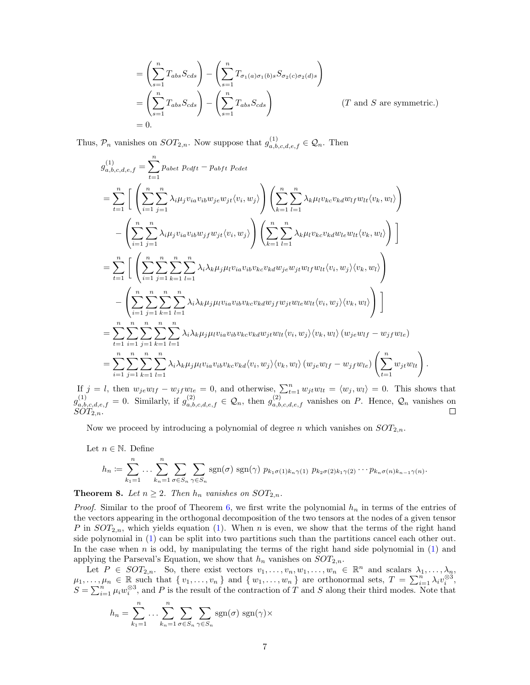$$
= \left(\sum_{s=1}^{n} T_{abs} S_{cds}\right) - \left(\sum_{s=1}^{n} T_{\sigma_1(a)\sigma_1(b)s} S_{\sigma_2(c)\sigma_2(d)s}\right)
$$
  
= 
$$
\left(\sum_{s=1}^{n} T_{abs} S_{cds}\right) - \left(\sum_{s=1}^{n} T_{abs} S_{cds}\right)
$$
 (*T* and *S* are symmetric.)  
= 0.

Thus,  $\mathcal{P}_n$  vanishes on  $SOT_{2,n}$ . Now suppose that  $g_{a,b,c,d,e,f}^{(1)} \in \mathcal{Q}_n$ . Then

$$
g_{a,b,c,d,e,f}^{(1)} = \sum_{t=1}^{n} p_{abet} p_{cdft} - p_{abft} p_{cdet}
$$
\n
$$
= \sum_{t=1}^{n} \left[ \left( \sum_{i=1}^{n} \sum_{j=1}^{n} \lambda_{i} \mu_{j} v_{ia} v_{ib} w_{je} w_{jt} \langle v_{i}, w_{j} \rangle \right) \left( \sum_{k=1}^{n} \sum_{l=1}^{n} \lambda_{k} \mu_{l} v_{kc} v_{kd} w_{lf} w_{lt} \langle v_{k}, w_{l} \rangle \right) - \left( \sum_{i=1}^{n} \sum_{j=1}^{n} \lambda_{i} \mu_{j} v_{ia} v_{ib} w_{jf} w_{jt} \langle v_{i}, w_{j} \rangle \right) \left( \sum_{k=1}^{n} \sum_{l=1}^{n} \lambda_{k} \mu_{l} v_{kc} v_{kd} w_{le} w_{lt} \langle v_{k}, w_{l} \rangle \right) \right]
$$
\n
$$
= \sum_{t=1}^{n} \left[ \left( \sum_{i=1}^{n} \sum_{j=1}^{n} \sum_{k=1}^{n} \sum_{l=1}^{n} \lambda_{i} \lambda_{k} \mu_{j} \mu_{l} v_{ia} v_{ib} v_{kc} v_{kd} w_{je} w_{jt} w_{lf} w_{lt} \langle v_{i}, w_{j} \rangle \langle v_{k}, w_{l} \rangle \right) - \left( \sum_{i=1}^{n} \sum_{j=1}^{n} \sum_{k=1}^{n} \sum_{l=1}^{n} \lambda_{i} \lambda_{k} \mu_{j} \mu_{l} v_{ia} v_{ib} v_{kc} v_{kd} w_{jf} w_{jt} w_{lt} \langle v_{i}, w_{j} \rangle \langle v_{k}, w_{l} \rangle \right) \right]
$$
\n
$$
= \sum_{t=1}^{n} \sum_{i=1}^{n} \sum_{j=1}^{n} \sum_{k=1}^{n} \sum_{l=1}^{n} \lambda_{i} \lambda_{k} \mu_{j} \mu_{l} v_{ia} v_{ib} v_{kc} v_{kd} w_{jt} w_{lt} \langle v_{i}, w_{j} \rangle \langle v_{k}, w_{l} \rangle \left( w_{je} w_{lf} - w_{jf} w_{le} \right) \right]
$$
\n
$$
= \
$$

If  $j = l$ , then  $w_{je}w_{lf} - w_{jf}w_{le} = 0$ , and otherwise,  $\sum_{t=1}^{n} w_{jt}w_{lt} = \langle w_j, w_l \rangle = 0$ . This shows that  $g_{a,b,c,d,e,f}^{(1)} = 0$ . Similarly, if  $g_{a,b,c,d,e,f}^{(2)} \in \mathcal{Q}_n$ , then  $g_{a,b,c,d,e,f}^{(2)}$  vanishes on P. Hence,  $\mathcal{Q}_n$  vanishes on  $SOT_{2,n}.$  $\Box$ 

Now we proceed by introducing a polynomial of degree n which vanishes on  $SOT_{2,n}$ .

Let  $n \in \mathbb{N}$ . Define

$$
h_n := \sum_{k_1=1}^n \ldots \sum_{k_n=1}^n \sum_{\sigma \in S_n} \sum_{\gamma \in S_n} \text{sgn}(\sigma) \text{sgn}(\gamma) p_{k_1 \sigma(1) k_n \gamma(1)} p_{k_2 \sigma(2) k_1 \gamma(2)} \cdots p_{k_n \sigma(n) k_{n-1} \gamma(n)}.
$$

**Theorem 8.** Let  $n \geq 2$ . Then  $h_n$  vanishes on  $SOT_{2,n}$ .

*Proof.* Similar to the proof of Theorem [6,](#page-5-1) we first write the polynomial  $h_n$  in terms of the entries of the vectors appearing in the orthogonal decomposition of the two tensors at the nodes of a given tensor P in  $SOT_{2,n}$ , which yields equation [\(1\)](#page-7-0). When n is even, we show that the terms of the right hand side polynomial in [\(1\)](#page-7-0) can be split into two partitions such than the partitions cancel each other out. In the case when  $n$  is odd, by manipulating the terms of the right hand side polynomial in  $(1)$  and applying the Parseval's Equation, we show that  $h_n$  vanishes on  $SOT_{2,n}$ .

Let  $P \in SOT_{2,n}$ . So, there exist vectors  $v_1, \ldots, v_n, w_1, \ldots, w_n \in \mathbb{R}^n$  and scalars  $\lambda_1, \ldots, \lambda_n$ ,  $\mu_1, \ldots, \mu_n \in \mathbb{R}$  such that  $\{v_1, \ldots, v_n\}$  and  $\{w_1, \ldots, w_n\}$  are orthonormal sets,  $T = \sum_{i=1}^n \lambda_i v_i^{\otimes 3}$ ,  $S = \sum_{i=1}^{n} \mu_i w_i^{\otimes 3}$ , and P is the result of the contraction of T and S along their third modes. Note that

$$
h_n = \sum_{k_1=1}^n \dots \sum_{k_n=1}^n \sum_{\sigma \in S_n} \sum_{\gamma \in S_n} \text{sgn}(\sigma) \text{ sgn}(\gamma) \times
$$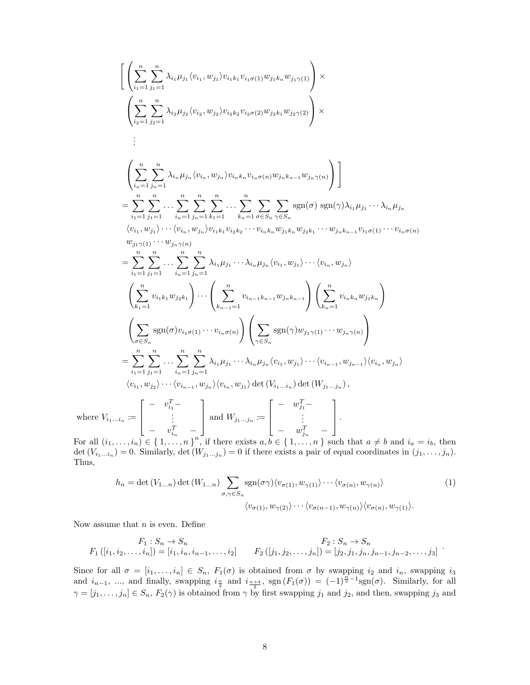$$
\left[ \left( \sum_{i_1=1}^{n} \sum_{j_1=1}^{n} \lambda_{i_1} \mu_{j_1} \langle v_{i_1}, w_{j_1} \rangle v_{i_1 k_1} v_{i_1 \sigma(1)} w_{j_1 k_n} w_{j_1 \gamma(1)} \right) \times \n\left( \sum_{i_2=1}^{n} \sum_{j_2=1}^{n} \lambda_{i_2} \mu_{j_2} \langle v_{i_2}, w_{j_2} \rangle v_{i_2 k_2} v_{i_2 \sigma(2)} w_{j_2 k_1} w_{j_2 \gamma(2)} \right) \times \n\vdots \n\left( \sum_{i_n=1}^{n} \sum_{j_n=1}^{n} \lambda_{i_n} \mu_{j_n} \langle v_{i_n}, w_{j_n} \rangle v_{i_n k_n} v_{i_n \sigma(n)} w_{j_n k_{n-1}} w_{j_n \gamma(n)} \right) \right] \n= \sum_{i_1=1}^{n} \sum_{j_1=1}^{n} \cdots \sum_{i_n=1}^{n} \sum_{j_1=1}^{n} \sum_{k_1=1}^{n} \cdots \sum_{k_n=1}^{n} \sum_{\sigma \in S_n} \sum_{\gamma \in S_n} \text{sgn}(\sigma) \text{sgn}(\gamma) \lambda_{i_1} \mu_{j_1} \cdots \lambda_{i_n} \mu_{j_n} \omega_{j_n} w_{j_n k_n} w_{j_n k_n} w_{j_n k_n} \omega_{j_n k_n} \cdots \omega_{j_n k_n} \omega_{j_n k_n} \omega_{j_n k_n} \omega_{j_n k_n} \omega_{j_n k_n} \omega_{j_n k_n} \omega_{j_n k_n} \omega_{j_n k_n} \omega_{j_n k_n} \omega_{j_n k_n} \omega_{j_n k_n} \omega_{j_n k_n} \omega_{j_n k_n} \omega_{j_n k_n} \omega_{j_n k_n} \omega_{j_n k_n} \omega_{j_n k_n} \omega_{j_n k_n} \omega_{j_n k_n} \omega_{j_n k_n} \omega_{j_n k_n} \omega_{j_n k_n} \omega_{j_n k_n} \omega_{j_n k_n} \omega_{j_n k_n} \omega_{j_n k_n} \omega_{j_n k_n} \omega_{j_n k_n} \omega_{j_n k_n} \omega_{j_n k_n} \omega_{j_n k_n} \omega_{j_n k_n} \omega_{j_n k_n} \omega_{
$$

For all (  $= i_b$ , then det  $(V_{i_1...i_n}) = 0$ . Similarly, det  $(W_{j_1...j_n}) = 0$  if there exists a pair of equal coordinates in  $(j_1,...,j_n)$ . Thus,

$$
h_n = \det(V_{1...n}) \det(W_{1...n}) \sum_{\sigma,\gamma \in S_n} \text{sgn}(\sigma \gamma) \langle v_{\sigma(1)}, w_{\gamma(1)} \rangle \cdots \langle v_{\sigma(n)}, w_{\gamma(n)} \rangle
$$
  

$$
\langle v_{\sigma(1)}, w_{\gamma(2)} \rangle \cdots \langle v_{\sigma(n-1)}, w_{\gamma(n)} \rangle \langle v_{\sigma(n)}, w_{\gamma(1)} \rangle.
$$
 (1)

<span id="page-7-0"></span>.

Now assume that  $n$  is even. Define

$$
F_1: S_n \to S_n
$$
  
\n
$$
F_1([i_1, i_2, \dots, i_n]) = [i_1, i_n, i_{n-1}, \dots, i_2]
$$
  
\n
$$
F_2([j_1, j_2, \dots, j_n]) = [j_2, j_1, j_n, j_{n-1}, j_{n-2}, \dots, j_3]
$$

Since for all  $\sigma = [i_1, \ldots, i_n] \in S_n$ ,  $F_1(\sigma)$  is obtained from  $\sigma$  by swapping  $i_2$  and  $i_n$ , swapping  $i_3$ and  $i_{n-1}$ , ..., and finally, swapping  $i_{\frac{n}{2}}$  and  $i_{\frac{n+4}{2}}$ , sgn  $(F_1(\sigma)) = (-1)^{\frac{n}{2}-1}$ sgn $(\sigma)$ . Similarly, for all  $\gamma = [j_1, \ldots, j_n] \in S_n$ ,  $F_2(\gamma)$  is obtained from  $\gamma$  by first swapping  $j_1$  and  $j_2$ , and then, swapping  $j_3$  and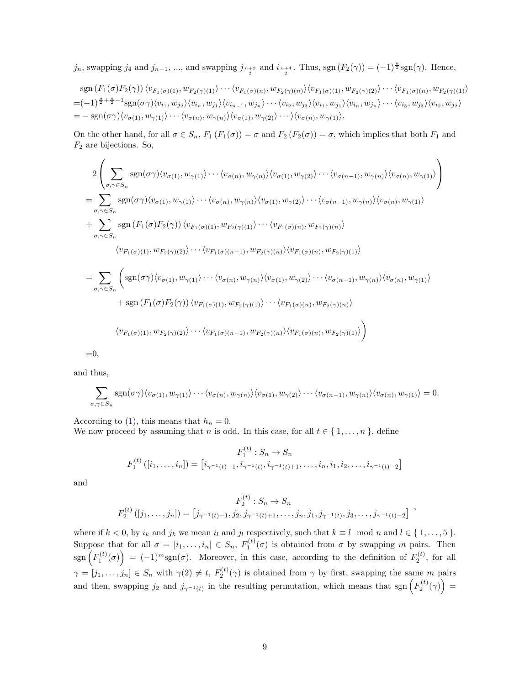$j_n$ , swapping  $j_4$  and  $j_{n-1}$ , ..., and swapping  $j_{\frac{n+2}{2}}$  and  $i_{\frac{n+4}{2}}$ . Thus, sgn  $(F_2(\gamma)) = (-1)^{\frac{n}{2}} \text{sgn}(\gamma)$ . Hence,

$$
\operatorname{sgn}(F_1(\sigma)F_2(\gamma)) \langle v_{F_1(\sigma)(1)}, w_{F_2(\gamma)(1)} \rangle \cdots \langle v_{F_1(\sigma)(n)}, w_{F_2(\gamma)(n)} \rangle \langle v_{F_1(\sigma)(1)}, w_{F_2(\gamma)(2)} \rangle \cdots \langle v_{F_1(\sigma)(n)}, w_{F_2(\gamma)(1)} \rangle = (-1)^{\frac{n}{2} + \frac{n}{2} - 1} \operatorname{sgn}(\sigma \gamma) \langle v_{i_1}, w_{j_2} \rangle \langle v_{i_n}, w_{j_1} \rangle \langle v_{i_{n-1}}, w_{j_n} \rangle \cdots \langle v_{i_2}, w_{j_3} \rangle \langle v_{i_1}, w_{j_1} \rangle \langle v_{i_n}, w_{j_n} \rangle \cdots \langle v_{i_3}, w_{j_3} \rangle \langle v_{i_2}, w_{j_2} \rangle = - \operatorname{sgn}(\sigma \gamma) \langle v_{\sigma(1)}, w_{\gamma(1)} \rangle \cdots \langle v_{\sigma(n)}, w_{\gamma(n)} \rangle \langle v_{\sigma(1)}, w_{\gamma(2)} \rangle \cdots \rangle \langle v_{\sigma(n)}, w_{\gamma(1)} \rangle.
$$

On the other hand, for all  $\sigma \in S_n$ ,  $F_1(F_1(\sigma)) = \sigma$  and  $F_2(F_2(\sigma)) = \sigma$ , which implies that both  $F_1$  and  $F_2$  are bijections. So,

$$
2\left(\sum_{\sigma,\gamma\in S_n}\operatorname{sgn}(\sigma\gamma)\langle v_{\sigma(1)},w_{\gamma(1)}\rangle\cdots\langle v_{\sigma(n)},w_{\gamma(n)}\rangle\langle v_{\sigma(1)},w_{\gamma(2)}\rangle\cdots\langle v_{\sigma(n-1)},w_{\gamma(n)}\rangle\langle v_{\sigma(n)},w_{\gamma(1)}\rangle\right)
$$
\n
$$
=\sum_{\sigma,\gamma\in S_n}\operatorname{sgn}(\sigma\gamma)\langle v_{\sigma(1)},w_{\gamma(1)}\rangle\cdots\langle v_{\sigma(n)},w_{\gamma(n)}\rangle\langle v_{\sigma(1)},w_{\gamma(2)}\rangle\cdots\langle v_{\sigma(n-1)},w_{\gamma(n)}\rangle\langle v_{\sigma(n)},w_{\gamma(1)}\rangle
$$
\n
$$
+\sum_{\sigma,\gamma\in S_n}\operatorname{sgn}(F_1(\sigma)F_2(\gamma))\langle v_{F_1(\sigma)(1)},w_{F_2(\gamma)(1)}\rangle\cdots\langle v_{F_1(\sigma)(n)},w_{F_2(\gamma)(n)}\rangle
$$
\n
$$
\langle v_{F_1(\sigma)(1)},w_{F_2(\gamma)(2)}\rangle\cdots\langle v_{F_1(\sigma)(n-1)},w_{F_2(\gamma)(n)}\rangle\langle v_{F_1(\sigma)(n)},w_{F_2(\gamma)(1)}\rangle
$$
\n
$$
=\sum_{\sigma,\gamma\in S_n}\left(\operatorname{sgn}(\sigma\gamma)\langle v_{\sigma(1)},w_{\gamma(1)}\rangle\cdots\langle v_{\sigma(n)},w_{\gamma(n)}\rangle\langle v_{\sigma(1)},w_{\gamma(2)}\rangle\cdots\langle v_{\sigma(n-1)},w_{\gamma(n)}\rangle\langle v_{\sigma(n)},w_{\gamma(1)}\rangle\right)
$$
\n
$$
+\operatorname{sgn}(F_1(\sigma)F_2(\gamma))\langle v_{F_1(\sigma)(1)},w_{F_2(\gamma)(1)}\rangle\cdots\langle v_{F_1(\sigma)(n)},w_{F_2(\gamma)(n)}\rangle\right)
$$
\n
$$
\langle v_{F_1(\sigma)(1)},w_{F_2(\gamma)(2)}\rangle\cdots\langle v_{F_1(\sigma)(n-1)},w_{F_2(\gamma)(n)}\rangle\langle v_{F_1(\sigma)(n)},w_{F_2(\gamma)(1)}\rangle)
$$

 $=0,$ 

and thus,

$$
\sum_{\sigma,\gamma\in S_n} \operatorname{sgn}(\sigma\gamma)\langle v_{\sigma(1)},w_{\gamma(1)}\rangle\cdots\langle v_{\sigma(n)},w_{\gamma(n)}\rangle\langle v_{\sigma(1)},w_{\gamma(2)}\rangle\cdots\langle v_{\sigma(n-1)},w_{\gamma(n)}\rangle\langle v_{\sigma(n)},w_{\gamma(1)}\rangle=0.
$$

According to [\(1\)](#page-7-0), this means that  $h_n = 0$ .

We now proceed by assuming that *n* is odd. In this case, for all  $t \in \{1, \ldots, n\}$ , define

$$
F_1^{(t)}: S_n \to S_n
$$
  

$$
F_1^{(t)}([i_1, \ldots, i_n]) = [i_{\gamma^{-1}(t)-1}, i_{\gamma^{-1}(t)}, i_{\gamma^{-1}(t)+1}, \ldots, i_n, i_1, i_2, \ldots, i_{\gamma^{-1}(t)-2}]
$$

and

$$
F_2^{(t)}: S_n \to S_n
$$
  

$$
F_2^{(t)}([j_1,\ldots,j_n]) = [j_{\gamma^{-1}(t)-1}, j_2, j_{\gamma^{-1}(t)+1}, \ldots, j_n, j_1, j_{\gamma^{-1}(t)}, j_3, \ldots, j_{\gamma^{-1}(t)-2}]
$$

where if  $k < 0$ , by  $i_k$  and  $j_k$  we mean  $i_l$  and  $j_l$  respectively, such that  $k \equiv l \mod n$  and  $l \in \{1, ..., 5\}$ . Suppose that for all  $\sigma = [i_1, \ldots, i_n] \in S_n$ ,  $F_1^{(t)}(\sigma)$  is obtained from  $\sigma$  by swapping m pairs. Then  $\text{sgn}\left(F_1^{(t)}(\sigma)\right) = (-1)^m \text{sgn}(\sigma)$ . Moreover, in this case, according to the definition of  $F_2^{(t)}$ , for all  $\gamma = [j_1, \ldots, j_n] \in S_n$  with  $\gamma(2) \neq t$ ,  $F_2^{(t)}(\gamma)$  is obtained from  $\gamma$  by first, swapping the same m pairs and then, swapping  $j_2$  and  $j_{\gamma^{-1}(t)}$  in the resulting permutation, which means that sgn  $(F_2^{(t)}(\gamma))$  =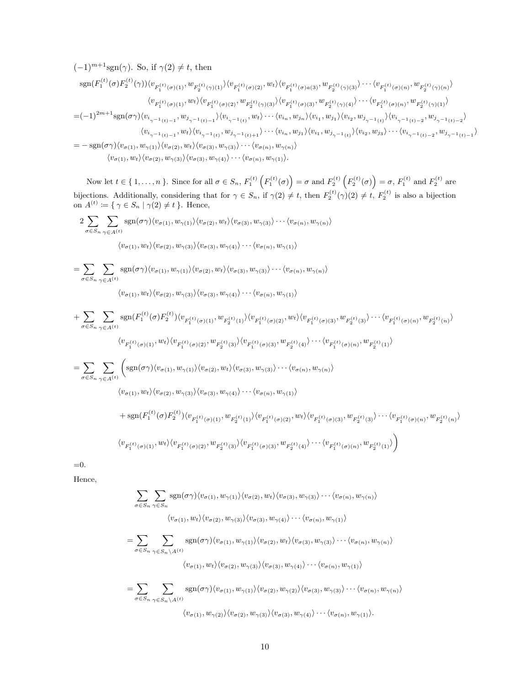$$
(-1)^{m+1}sgn(\gamma). So, if \gamma(2) \neq t, then
$$
  
\n
$$
sgn(F_1^{(t)}(\sigma)F_2^{(t)}(\gamma))\langle v_{F_1^{(t)}(\sigma)(1)}, w_{F_2^{(t)}(\gamma)(1)} \rangle \langle v_{F_1^{(t)}(\sigma)(2)}, w_t \rangle \langle v_{F_1^{(t)}(\sigma)(a)} \rangle w_{F_2^{(t)}(\gamma)(3)} \rangle \cdots \langle v_{F_1^{(t)}(\sigma)(n)}, w_{F_2^{(t)}(\gamma)(n)} \rangle
$$
  
\n
$$
\langle v_{F_1^{(t)}(\sigma)(1)}, w_t \rangle \langle v_{F_1^{(t)}(\sigma)(2)}, w_{F_2^{(t)}(\gamma)(3)} \rangle \langle v_{F_1^{(t)}(\sigma)(3)}, w_{F_2^{(t)}(\gamma)(4)} \rangle \cdots \langle v_{F_1^{(t)}(\sigma)(n)}, w_{F_2^{(t)}(\gamma)(1)} \rangle
$$
  
\n
$$
=(-1)^{2m+1}sgn(\sigma\gamma) \langle v_{i_{\gamma^{-1}(t)-1}}, w_{j_{\gamma^{-1}(t)-1}} \rangle \langle v_{i_{\gamma^{-1}(t)},} w_t \rangle \cdots \langle v_{i_n}, w_{j_n} \rangle \langle v_{i_1}, w_{j_1} \rangle \langle v_{i_2}, w_{j_{\gamma^{-1}(t)},} \rangle \langle v_{i_{\gamma^{-1}(t)-2}}, w_{j_{\gamma^{-1}(t)-2}} \rangle
$$
  
\n
$$
\langle v_{i_{\gamma^{-1}(t)-1}}, w_t \rangle \langle v_{i_{\gamma^{-1}(t)},} w_{j_{\gamma^{-1}(t)+1}} \rangle \cdots \langle v_{i_n}, w_{j_1} \rangle \langle v_{i_1}, w_{j_{\gamma^{-1}(t)},} \rangle \langle v_{i_2}, w_{j_3} \rangle \cdots \langle v_{i_{\gamma^{-1}(t)-2}}, w_{j_{\gamma^{-1}(t)-1}} \rangle
$$
  
\n
$$
= -sgn(\sigma\gamma) \langle v_{\sigma(1)}, w_{\gamma(1)} \rangle \langle v_{\sigma(2)}, w_t \rangle \langle v_{\sigma(3)}, w_{\gamma(3)} \rangle \cdots \langle v_{\sigma(n)}, w_{\gamma(n)} \rangle
$$

 $\langle v_{\sigma(1)}, w_t \rangle \langle v_{\sigma(2)}, w_{\gamma(3)} \rangle \langle v_{\sigma(3)}, w_{\gamma(4)} \rangle \cdots \langle v_{\sigma(n)}, w_{\gamma(1)} \rangle.$ 

Now let  $t \in \{1,\ldots,n\}$ . Since for all  $\sigma \in S_n$ ,  $F_1^{(t)}\left(F_1^{(t)}(\sigma)\right) = \sigma$  and  $F_2^{(t)}\left(F_2^{(t)}(\sigma)\right) = \sigma$ ,  $F_1^{(t)}$  and  $F_2^{(t)}$  are bijections. Additionally, considering that for  $\gamma \in S_n$ , if  $\gamma(2) \neq t$ , then  $F_2^{(t)}(\gamma)(2) \neq t$ ,  $F_2^{(t)}$  is also a bijection on  $A^{(t)} \coloneqq \{ \gamma \in S_n \mid \gamma(2) \neq t \}.$  Hence,

$$
2 \sum_{\sigma \in S_n} \sum_{\gamma \in A^{(t)}} \text{sgn}(\sigma \gamma) \langle v_{\sigma(1)}, w_{\gamma(1)} \rangle \langle v_{\sigma(2)}, w_t \rangle \langle v_{\sigma(3)}, w_{\gamma(3)} \rangle \cdots \langle v_{\sigma(n)}, w_{\gamma(n)} \rangle
$$

$$
\langle v_{\sigma(1)}, w_t \rangle \langle v_{\sigma(2)}, w_{\gamma(3)} \rangle \langle v_{\sigma(3)}, w_{\gamma(4)} \rangle \cdots \langle v_{\sigma(n)}, w_{\gamma(1)} \rangle
$$

$$
= \sum_{\sigma \in S_n} \sum_{\gamma \in A^{(t)}} \text{sgn}(\sigma \gamma) \langle v_{\sigma(1)}, w_{\gamma(1)} \rangle \langle v_{\sigma(2)}, w_t \rangle \langle v_{\sigma(3)}, w_{\gamma(3)} \rangle \cdots \langle v_{\sigma(n)}, w_{\gamma(n)} \rangle
$$
  

$$
\langle v_{\sigma(1)}, w_{\gamma(2)}, w_{\sigma(3)}, w_{\sigma(3)}, w_{\sigma(4)}, w_{\sigma(5)}, w_{\sigma(6)}, w_{\sigma(7)}, w_{\sigma(8)} \rangle
$$

$$
\langle v_{\sigma(1)}, w_t \rangle \langle v_{\sigma(2)}, w_{\gamma(3)} \rangle \langle v_{\sigma(3)}, w_{\gamma(4)} \rangle \cdots \langle v_{\sigma(n)}, w_{\gamma(1)} \rangle
$$

$$
+ \sum_{\sigma \in S_n} \sum_{\gamma \in A^{(t)}} \text{sgn}(F_1^{(t)}(\sigma) F_2^{(t)}) \langle v_{F_1^{(t)}(\sigma)(1)}, w_{F_2^{(t)}(1)} \rangle \langle v_{F_1^{(t)}(\sigma)(2)}, w_t \rangle \langle v_{F_1^{(t)}(\sigma)(3)}, w_{F_2^{(t)}(3)} \rangle \cdots \langle v_{F_1^{(t)}(\sigma)(n)}, w_{F_2^{(t)}(n)} \rangle
$$
  
\n
$$
\langle v_{F_1^{(t)}(\sigma)(1)}, w_t \rangle \langle v_{F_1^{(t)}(\sigma)(2)}, w_{F_2^{(t)}(3)} \rangle \langle v_{F_1^{(t)}(\sigma)(3)}, w_{F_2^{(t)}(4)} \rangle \cdots \langle v_{F_1^{(t)}(\sigma)(n)}, w_{F_2^{(t)}(1)} \rangle
$$
  
\n
$$
= \sum_{\sigma \in S_n} \sum_{\gamma \in A^{(t)}} \left( \text{sgn}(\sigma \gamma) \langle v_{\sigma(1)}, w_{\gamma(1)} \rangle \langle v_{\sigma(2)}, w_t \rangle \langle v_{\sigma(3)}, w_{\gamma(3)} \rangle \cdots \langle v_{\sigma(n)}, w_{\gamma(n)} \rangle \right.
$$
  
\n
$$
\langle v_{\sigma(1)}, w_t \rangle \langle v_{\sigma(2)}, w_{\gamma(3)} \rangle \langle v_{\sigma(3)}, w_{\gamma(4)} \rangle \cdots \langle v_{\sigma(n)}, w_{\gamma(1)} \rangle
$$
  
\n
$$
+ \text{sgn}(F_1^{(t)}(\sigma) F_2^{(t)}) \langle v_{F_1^{(t)}(\sigma)(1)}, w_{F_2^{(t)}(1)} \rangle \langle v_{F_1^{(t)}(\sigma)(2)}, w_t \rangle \langle v_{F_1^{(t)}(\sigma)(3)}, w_{F_2^{(t)}(3)} \rangle \cdots \langle v_{F_1^{(t)}(\sigma)(n)}, w_{F_2^{(t)}(n)} \rangle
$$
  
\n
$$
\langle v_{F_1^{(t)}(\sigma)(1)}, w_t \rangle \langle v_{F_1^{(t)}(\sigma)(2)}, w_{F_2^{(t)}(3)} \rangle \langle v_{F_1^{(t)}(\sigma)(3)}, w_{F_2^{(t)}(4)} \rangle \cdots \langle v_{F_1^{(t)}(\sigma)(n)}, w_{F_2^{(t)}(1)} \rangle \right)
$$

=0.

Hence,

$$
\sum_{\sigma \in S_n} \sum_{\gamma \in S_n} \text{sgn}(\sigma \gamma) \langle v_{\sigma(1)}, w_{\gamma(1)} \rangle \langle v_{\sigma(2)}, w_t \rangle \langle v_{\sigma(3)}, w_{\gamma(3)} \rangle \cdots \langle v_{\sigma(n)}, w_{\gamma(n)} \rangle
$$
\n
$$
\langle v_{\sigma(1)}, w_t \rangle \langle v_{\sigma(2)}, w_{\gamma(3)} \rangle \langle v_{\sigma(3)}, w_{\gamma(4)} \rangle \cdots \langle v_{\sigma(n)}, w_{\gamma(1)} \rangle
$$
\n
$$
= \sum_{\sigma \in S_n} \sum_{\gamma \in S_n \setminus A^{(t)}} \text{sgn}(\sigma \gamma) \langle v_{\sigma(1)}, w_{\gamma(1)} \rangle \langle v_{\sigma(2)}, w_t \rangle \langle v_{\sigma(3)}, w_{\gamma(3)} \rangle \cdots \langle v_{\sigma(n)}, w_{\gamma(n)} \rangle
$$
\n
$$
\langle v_{\sigma(1)}, w_t \rangle \langle v_{\sigma(2)}, w_{\gamma(3)} \rangle \langle v_{\sigma(3)}, w_{\gamma(4)} \rangle \cdots \langle v_{\sigma(n)}, w_{\gamma(1)} \rangle
$$
\n
$$
= \sum_{\sigma \in S_n} \sum_{\gamma \in S_n \setminus A^{(t)}} \text{sgn}(\sigma \gamma) \langle v_{\sigma(1)}, w_{\gamma(1)} \rangle \langle v_{\sigma(2)}, w_{\gamma(2)} \rangle \langle v_{\sigma(3)}, w_{\gamma(3)} \rangle \cdots \langle v_{\sigma(n)}, w_{\gamma(n)} \rangle
$$
\n
$$
\langle v_{\sigma(1)}, w_{\gamma(2)} \rangle \langle v_{\sigma(2)}, w_{\gamma(3)} \rangle \langle v_{\sigma(3)}, w_{\gamma(4)} \rangle \cdots \langle v_{\sigma(n)}, w_{\gamma(1)} \rangle.
$$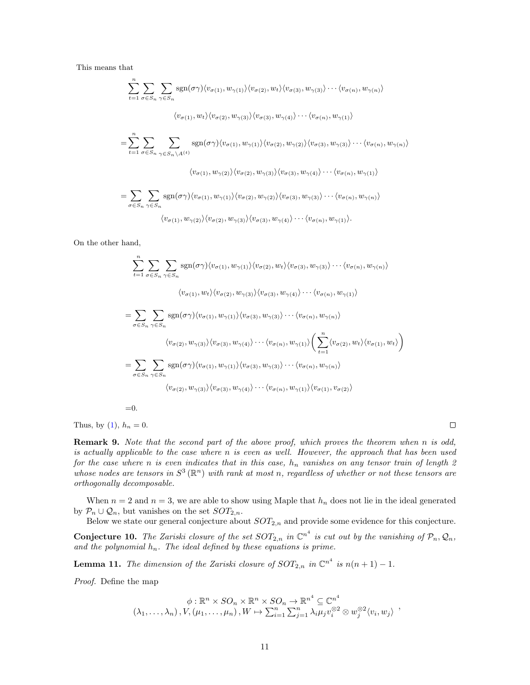This means that

$$
\sum_{t=1}^{n} \sum_{\sigma \in S_n} \sum_{\gamma \in S_n} \text{sgn}(\sigma \gamma) \langle v_{\sigma(1)}, w_{\gamma(1)} \rangle \langle v_{\sigma(2)}, w_t \rangle \langle v_{\sigma(3)}, w_{\gamma(3)} \rangle \cdots \langle v_{\sigma(n)}, w_{\gamma(n)} \rangle
$$
  

$$
\langle v_{\sigma(1)}, w_t \rangle \langle v_{\sigma(2)}, w_{\gamma(3)} \rangle \langle v_{\sigma(3)}, w_{\gamma(4)} \rangle \cdots \langle v_{\sigma(n)}, w_{\gamma(1)} \rangle
$$
  

$$
= \sum_{t=1}^{n} \sum_{\sigma \in S_n} \sum_{\gamma \in S_n \setminus A^{(t)}} \text{sgn}(\sigma \gamma) \langle v_{\sigma(1)}, w_{\gamma(1)} \rangle \langle v_{\sigma(2)}, w_{\gamma(2)} \rangle \langle v_{\sigma(3)}, w_{\gamma(3)} \rangle \cdots \langle v_{\sigma(n)}, w_{\gamma(n)} \rangle
$$
  

$$
\langle v_{\sigma(1)}, w_{\gamma(2)} \rangle \langle v_{\sigma(2)}, w_{\gamma(3)} \rangle \langle v_{\sigma(3)}, w_{\gamma(4)} \rangle \cdots \langle v_{\sigma(n)}, w_{\gamma(1)} \rangle
$$
  

$$
= \sum_{\sigma \in S_n} \sum_{\gamma \in S_n} \text{sgn}(\sigma \gamma) \langle v_{\sigma(1)}, w_{\gamma(1)} \rangle \langle v_{\sigma(2)}, w_{\gamma(2)} \rangle \langle v_{\sigma(3)}, w_{\gamma(3)} \rangle \cdots \langle v_{\sigma(n)}, w_{\gamma(n)} \rangle
$$
  

$$
\langle v_{\sigma(1)}, w_{\gamma(2)} \rangle \langle v_{\sigma(2)}, w_{\gamma(3)} \rangle \langle v_{\sigma(3)}, w_{\gamma(4)} \rangle \cdots \langle v_{\sigma(n)}, w_{\gamma(1)} \rangle.
$$

On the other hand,

$$
\sum_{t=1}^{n} \sum_{\sigma \in S_n} \sum_{\gamma \in S_n} \text{sgn}(\sigma \gamma) \langle v_{\sigma(1)}, w_{\gamma(1)} \rangle \langle v_{\sigma(2)}, w_t \rangle \langle v_{\sigma(3)}, w_{\gamma(3)} \rangle \cdots \langle v_{\sigma(n)}, w_{\gamma(n)} \rangle
$$
  

$$
\langle v_{\sigma(1)}, w_t \rangle \langle v_{\sigma(2)}, w_{\gamma(3)} \rangle \langle v_{\sigma(3)}, w_{\gamma(4)} \rangle \cdots \langle v_{\sigma(n)}, w_{\gamma(1)} \rangle
$$
  

$$
= \sum_{\sigma \in S_n} \sum_{\gamma \in S_n} \text{sgn}(\sigma \gamma) \langle v_{\sigma(1)}, w_{\gamma(1)} \rangle \langle v_{\sigma(3)}, w_{\gamma(3)} \rangle \cdots \langle v_{\sigma(n)}, w_{\gamma(n)} \rangle
$$
  

$$
\langle v_{\sigma(2)}, w_{\gamma(3)} \rangle \langle v_{\sigma(3)}, w_{\gamma(4)} \rangle \cdots \langle v_{\sigma(n)}, w_{\gamma(1)} \rangle \left( \sum_{t=1}^{n} \langle v_{\sigma(2)}, w_t \rangle \langle v_{\sigma(1)}, w_t \rangle \right)
$$
  

$$
= \sum_{\sigma \in S_n} \sum_{\gamma \in S_n} \text{sgn}(\sigma \gamma) \langle v_{\sigma(1)}, w_{\gamma(1)} \rangle \langle v_{\sigma(3)}, w_{\gamma(3)} \rangle \cdots \langle v_{\sigma(n)}, w_{\gamma(n)} \rangle
$$
  

$$
\langle v_{\sigma(2)}, w_{\gamma(3)} \rangle \langle v_{\sigma(3)}, w_{\gamma(4)} \rangle \cdots \langle v_{\sigma(n)}, w_{\gamma(1)} \rangle \langle v_{\sigma(1)}, v_{\sigma(2)} \rangle
$$

 $=0.$ 

Thus, by  $(1)$ ,  $h_n = 0$ .

Remark 9. Note that the second part of the above proof, which proves the theorem when n is odd, is actually applicable to the case where n is even as well. However, the approach that has been used for the case where n is even indicates that in this case,  $h_n$  vanishes on any tensor train of length 2 whose nodes are tensors in  $S^3(\mathbb{R}^n)$  with rank at most n, regardless of whether or not these tensors are orthogonally decomposable.

 $\Box$ 

When  $n = 2$  and  $n = 3$ , we are able to show using Maple that  $h_n$  does not lie in the ideal generated by  $\mathcal{P}_n \cup \mathcal{Q}_n$ , but vanishes on the set  $SOT_{2,n}$ .

Below we state our general conjecture about  $SOT_{2,n}$  and provide some evidence for this conjecture.

**Conjecture 10.** The Zariski closure of the set  $SOT_{2,n}$  in  $\mathbb{C}^{n^4}$  is cut out by the vanishing of  $\mathcal{P}_n, \mathcal{Q}_n$ , and the polynomial  $h_n$ . The ideal defined by these equations is prime.

<span id="page-10-0"></span>**Lemma 11.** The dimension of the Zariski closure of  $SOT_{2,n}$  in  $\mathbb{C}^{n^4}$  is  $n(n+1)-1$ .

Proof. Define the map

$$
\phi: \mathbb{R}^n \times SO_n \times \mathbb{R}^n \times SO_n \to \mathbb{R}^{n^4} \subseteq \mathbb{C}^{n^4}
$$
  

$$
(\lambda_1, \ldots, \lambda_n), V, (\mu_1, \ldots, \mu_n), W \mapsto \sum_{i=1}^n \sum_{j=1}^n \lambda_i \mu_j v_i^{\otimes 2} \otimes w_j^{\otimes 2} \langle v_i, w_j \rangle ,
$$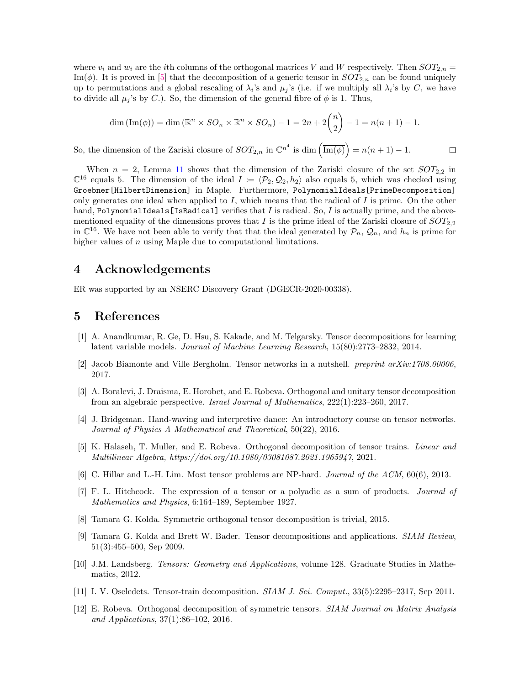where  $v_i$  and  $w_i$  are the *i*th columns of the orthogonal matrices V and W respectively. Then  $SOT_{2,n}$ Im( $\phi$ ). It is proved in [\[5\]](#page-11-11) that the decomposition of a generic tensor in  $SOT_{2,n}$  can be found uniquely up to permutations and a global rescaling of  $\lambda_i$ 's and  $\mu_j$ 's (i.e. if we multiply all  $\lambda_i$ 's by C, we have to divide all  $\mu_j$ 's by C.). So, the dimension of the general fibre of  $\phi$  is 1. Thus,

$$
\dim\left(\operatorname{Im}(\phi)\right) = \dim\left(\mathbb{R}^n \times SO_n \times \mathbb{R}^n \times SO_n\right) - 1 = 2n + 2\binom{n}{2} - 1 = n(n+1) - 1.
$$

So, the dimension of the Zariski closure of  $SOT_{2,n}$  in  $\mathbb{C}^{n^4}$  is dim  $\left(\overline{\text{Im}(\phi)}\right) = n(n+1) - 1$ .

 $\Box$ 

When  $n = 2$ , Lemma [11](#page-10-0) shows that the dimension of the Zariski closure of the set  $SOT_{2,2}$  in  $\mathbb{C}^{16}$  equals 5. The dimension of the ideal  $I := \langle \mathcal{P}_2, \mathcal{Q}_2, h_2 \rangle$  also equals 5, which was checked using Groebner[HilbertDimension] in Maple. Furthermore, PolynomialIdeals[PrimeDecomposition] only generates one ideal when applied to  $I$ , which means that the radical of  $I$  is prime. On the other hand, PolynomialIdeals [IsRadical] verifies that  $I$  is radical. So,  $I$  is actually prime, and the abovementioned equality of the dimensions proves that I is the prime ideal of the Zariski closure of  $SOT_{2,2}$ in  $\mathbb{C}^{16}$ . We have not been able to verify that that the ideal generated by  $\mathcal{P}_n$ ,  $\mathcal{Q}_n$ , and  $h_n$  is prime for higher values of  $n$  using Maple due to computational limitations.

### 4 Acknowledgements

ER was supported by an NSERC Discovery Grant (DGECR-2020-00338).

### 5 References

- <span id="page-11-5"></span>[1] A. Anandkumar, R. Ge, D. Hsu, S. Kakade, and M. Telgarsky. Tensor decompositions for learning latent variable models. Journal of Machine Learning Research, 15(80):2773–2832, 2014.
- <span id="page-11-8"></span>[2] Jacob Biamonte and Ville Bergholm. Tensor networks in a nutshell. *preprint*  $arXiv.1708.00006$ *,* 2017.
- <span id="page-11-6"></span>[3] A. Boralevi, J. Draisma, E. Horobet, and E. Robeva. Orthogonal and unitary tensor decomposition from an algebraic perspective. Israel Journal of Mathematics, 222(1):223–260, 2017.
- <span id="page-11-9"></span>[4] J. Bridgeman. Hand-waving and interpretive dance: An introductory course on tensor networks. Journal of Physics A Mathematical and Theoretical, 50(22), 2016.
- <span id="page-11-11"></span>[5] K. Halaseh, T. Muller, and E. Robeva. Orthogonal decomposition of tensor trains. Linear and Multilinear Algebra, https://doi.org/10.1080/03081087.2021.1965947, 2021.
- <span id="page-11-1"></span>[6] C. Hillar and L.-H. Lim. Most tensor problems are NP-hard. Journal of the ACM, 60(6), 2013.
- <span id="page-11-0"></span>[7] F. L. Hitchcock. The expression of a tensor or a polyadic as a sum of products. Journal of Mathematics and Physics, 6:164–189, September 1927.
- <span id="page-11-4"></span>[8] Tamara G. Kolda. Symmetric orthogonal tensor decomposition is trivial, 2015.
- <span id="page-11-2"></span>[9] Tamara G. Kolda and Brett W. Bader. Tensor decompositions and applications. SIAM Review, 51(3):455–500, Sep 2009.
- <span id="page-11-3"></span>[10] J.M. Landsberg. Tensors: Geometry and Applications, volume 128. Graduate Studies in Mathematics, 2012.
- <span id="page-11-10"></span>[11] I. V. Oseledets. Tensor-train decomposition. SIAM J. Sci. Comput., 33(5):2295–2317, Sep 2011.
- <span id="page-11-7"></span>[12] E. Robeva. Orthogonal decomposition of symmetric tensors. SIAM Journal on Matrix Analysis and Applications, 37(1):86–102, 2016.